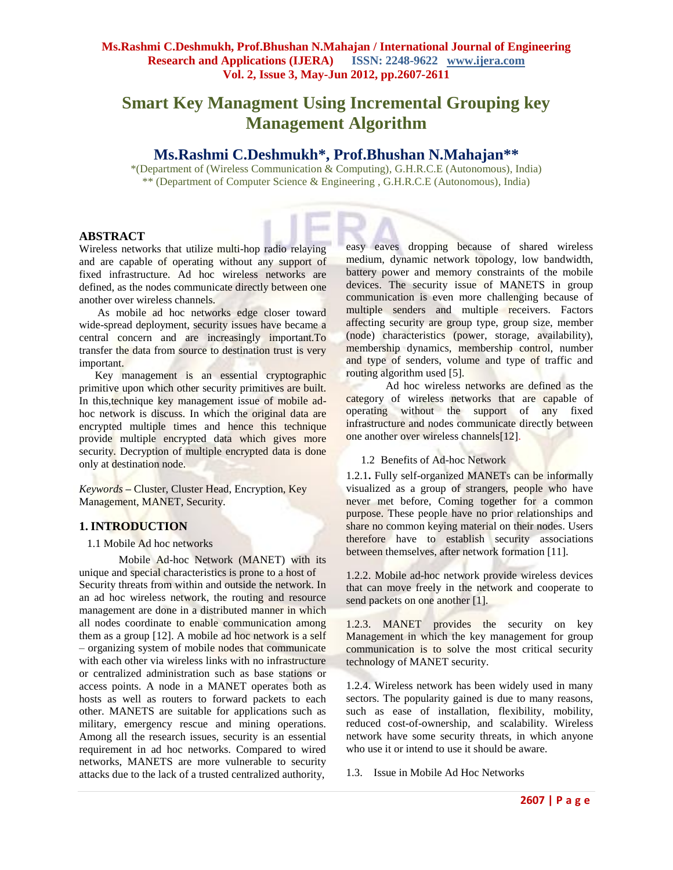# **Smart Key Managment Using Incremental Grouping key Management Algorithm**

## **Ms.Rashmi C.Deshmukh\*, Prof.Bhushan N.Mahajan\*\***

\*(Department of (Wireless Communication & Computing), G.H.R.C.E (Autonomous), India) \*\* (Department of Computer Science & Engineering , G.H.R.C.E (Autonomous), India)

### **ABSTRACT**

Wireless networks that utilize multi-hop radio relaying and are capable of operating without any support of fixed infrastructure. Ad hoc wireless networks are defined, as the nodes communicate directly between one another over wireless channels.

As mobile ad hoc networks edge closer toward wide-spread deployment, security issues have became a central concern and are increasingly important.To transfer the data from source to destination trust is very important.

Key management is an essential cryptographic primitive upon which other security primitives are built. In this,technique key management issue of mobile adhoc network is discuss. In which the original data are encrypted multiple times and hence this technique provide multiple encrypted data which gives more security. Decryption of multiple encrypted data is done only at destination node.

*Keywords* **–** Cluster, Cluster Head, Encryption, Key Management, MANET, Security.

### **1. INTRODUCTION**

#### 1.1 Mobile Ad hoc networks

Mobile Ad-hoc Network (MANET) with its unique and special characteristics is prone to a host of Security threats from within and outside the network. In an ad hoc wireless network, the routing and resource management are done in a distributed manner in which all nodes coordinate to enable communication among them as a group [12]. A mobile ad hoc network is a self – organizing system of mobile nodes that communicate with each other via wireless links with no infrastructure or centralized administration such as base stations or access points. A node in a MANET operates both as hosts as well as routers to forward packets to each other. MANETS are suitable for applications such as military, emergency rescue and mining operations. Among all the research issues, security is an essential requirement in ad hoc networks. Compared to wired networks, MANETS are more vulnerable to security attacks due to the lack of a trusted centralized authority,

easy eaves dropping because of shared wireless medium, dynamic network topology, low bandwidth, battery power and memory constraints of the mobile devices. The security issue of MANETS in group communication is even more challenging because of multiple senders and multiple receivers. Factors affecting security are group type, group size, member (node) characteristics (power, storage, availability), membership dynamics, membership control, number and type of senders, volume and type of traffic and routing algorithm used [5].

Ad hoc wireless networks are defined as the category of wireless networks that are capable of operating without the support of any fixed infrastructure and nodes communicate directly between one another over wireless channels[12].

1.2 Benefits of Ad-hoc Network

1.2.1**.** Fully self-organized MANETs can be informally visualized as a group of strangers, people who have never met before, Coming together for a common purpose. These people have no prior relationships and share no common keying material on their nodes. Users therefore have to establish security associations between themselves, after network formation [11].

1.2.2. Mobile ad-hoc network provide wireless devices that can move freely in the network and cooperate to send packets on one another [1].

1.2.3. MANET provides the security on key Management in which the key management for group communication is to solve the most critical security technology of MANET security.

1.2.4. Wireless network has been widely used in many sectors. The popularity gained is due to many reasons, such as ease of installation, flexibility, mobility, reduced cost-of-ownership, and scalability. Wireless network have some security threats, in which anyone who use it or intend to use it should be aware.

1.3.Issue in Mobile Ad Hoc Networks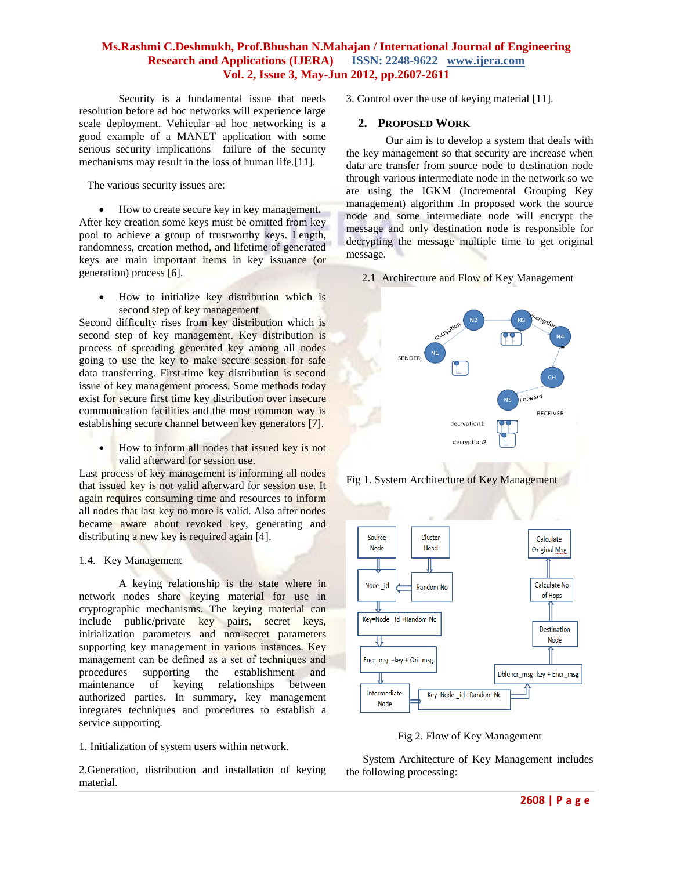Security is a fundamental issue that needs resolution before ad hoc networks will experience large scale deployment. Vehicular ad hoc networking is a good example of a MANET application with some serious security implications failure of the security mechanisms may result in the loss of human life.[11].

The various security issues are:

 How to create secure key in key management**.** After key creation some keys must be omitted from key pool to achieve a group of trustworthy keys. Length, randomness, creation method, and lifetime of generated keys are main important items in key issuance (or generation) process [6].

 How to initialize key distribution which is second step of key management

Second difficulty rises from key distribution which is second step of key management. Key distribution is process of spreading generated key among all nodes going to use the key to make secure session for safe data transferring. First-time key distribution is second issue of key management process. Some methods today exist for secure first time key distribution over insecure communication facilities and the most common way is establishing secure channel between key generators [7].

 How to inform all nodes that issued key is not valid afterward for session use.

Last process of key management is informing all nodes that issued key is not valid afterward for session use. It again requires consuming time and resources to inform all nodes that last key no more is valid. Also after nodes became aware about revoked key, generating and distributing a new key is required again [4].

#### 1.4. Key Management

A keying relationship is the state where in network nodes share keying material for use in cryptographic mechanisms. The keying material can include public/private key pairs, secret keys, initialization parameters and non-secret parameters supporting key management in various instances. Key management can be defined as a set of techniques and procedures supporting the establishment and maintenance of keying relationships between authorized parties. In summary, key management integrates techniques and procedures to establish a service supporting.

1. Initialization of system users within network.

2.Generation, distribution and installation of keying material.

3. Control over the use of keying material [11].

#### **2. PROPOSED WORK**

Our aim is to develop a system that deals with the key management so that security are increase when data are transfer from source node to destination node through various intermediate node in the network so we are using the IGKM (Incremental Grouping Key management) algorithm .In proposed work the source node and some intermediate node will encrypt the message and only destination node is responsible for decrypting the message multiple time to get original message.

2.1 Architecture and Flow of Key Management



Fig 1. System Architecture of Key Management



Fig 2. Flow of Key Management

 System Architecture of Key Management includes the following processing: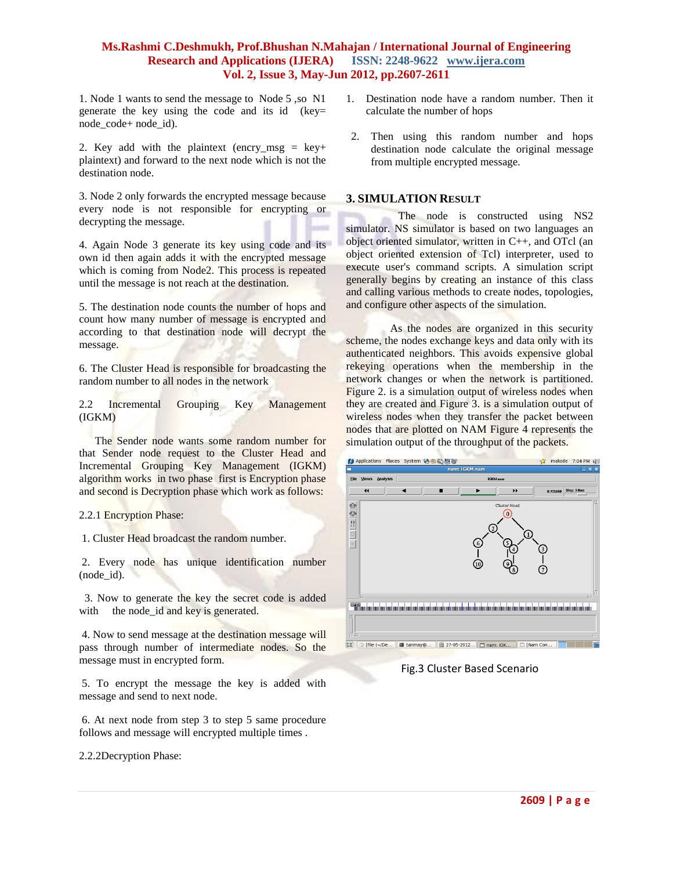1. Node 1 wants to send the message to Node 5 ,so N1 generate the key using the code and its id (key= node\_code+ node\_id).

2. Key add with the plaintext (encry msg = key+ plaintext) and forward to the next node which is not the destination node.

3. Node 2 only forwards the encrypted message because every node is not responsible for encrypting or decrypting the message.

4. Again Node 3 generate its key using code and its own id then again adds it with the encrypted message which is coming from Node2. This process is repeated until the message is not reach at the destination.

5. The destination node counts the number of hops and count how many number of message is encrypted and according to that destination node will decrypt the message.

6. The Cluster Head is responsible for broadcasting the random number to all nodes in the network

2.2 Incremental Grouping Key Management (IGKM)

The Sender node wants some random number for that Sender node request to the Cluster Head and Incremental Grouping Key Management (IGKM) algorithm works in two phase first is Encryption phase and second is Decryption phase which work as follows:

#### 2.2.1 Encryption Phase:

1. Cluster Head broadcast the random number.

2. Every node has unique identification number (node\_id).

 3. Now to generate the key the secret code is added with the node\_id and key is generated.

4. Now to send message at the destination message will pass through number of intermediate nodes. So the message must in encrypted form.

5. To encrypt the message the key is added with message and send to next node.

6. At next node from step 3 to step 5 same procedure follows and message will encrypted multiple times .

2.2.2Decryption Phase:

- 1. Destination node have a random number. Then it calculate the number of hops
- 2. Then using this random number and hops destination node calculate the original message from multiple encrypted message.

#### **3. SIMULATION RESULT**

 The node is constructed using NS2 simulator. NS simulator is based on two languages an object oriented simulator, written in C++, and OTcl (an object oriented extension of Tcl) interpreter, used to execute user's command scripts. A simulation script generally begins by creating an instance of this class and calling various methods to create nodes, topologies, and configure other aspects of the simulation.

 As the nodes are organized in this security scheme, the nodes exchange keys and data only with its authenticated neighbors. This avoids expensive global rekeying operations when the membership in the network changes or when the network is partitioned. Figure 2. is a simulation output of wireless nodes when they are created and Figure 3. is a simulation output of wireless nodes when they transfer the packet between nodes that are plotted on NAM Figure 4 represents the simulation output of the throughput of the packets.



Fig.3 Cluster Based Scenario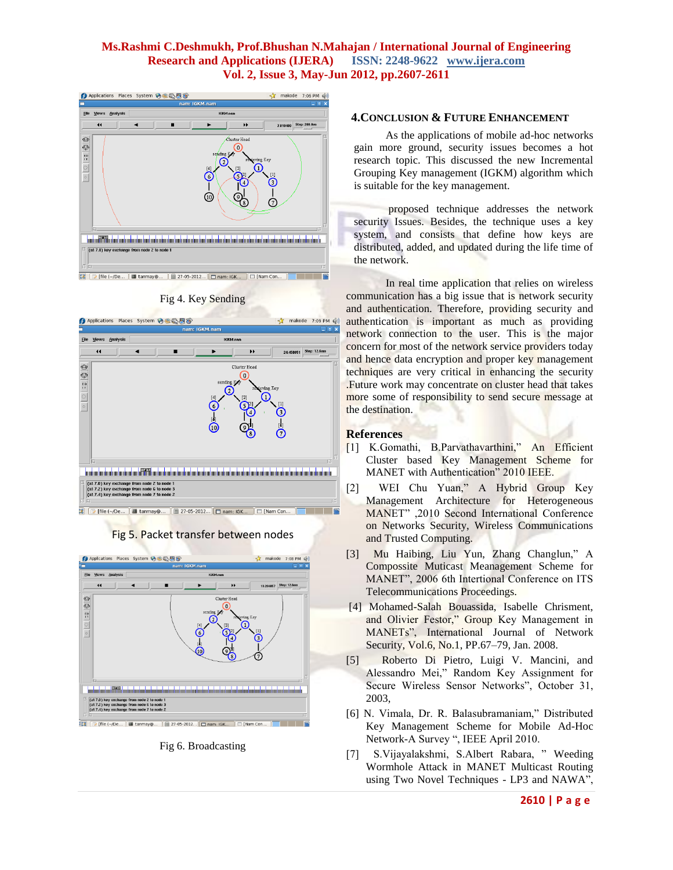

Fig 4. Key Sending







Fig 6. Broadcasting

#### **4.CONCLUSION & FUTURE ENHANCEMENT**

As the applications of mobile ad-hoc networks gain more ground, security issues becomes a hot research topic. This discussed the new Incremental Grouping Key management (IGKM) algorithm which is suitable for the key management.

proposed technique addresses the network security Issues. Besides, the technique uses a key system, and consists that define how keys are distributed, added, and updated during the life time of the network.

In real time application that relies on wireless communication has a big issue that is network security and authentication. Therefore, providing security and authentication is important as much as providing network connection to the user. This is the major concern for most of the network service providers today and hence data encryption and proper key management techniques are very critical in enhancing the security .Future work may concentrate on cluster head that takes more some of responsibility to send secure message at the destination.

#### **References**

- [1] K.Gomathi, B.Parvathavarthini," An Efficient Cluster based Key Management Scheme for MANET with Authentication" 2010 IEEE.
- [2] WEI Chu Yuan," A Hybrid Group Key Management Architecture for Heterogeneous MANET" ,2010 Second International Conference on Networks Security, Wireless Communications and Trusted Computing.
- [3] Mu Haibing, Liu Yun, Zhang Changlun," A Compossite Muticast Meanagement Scheme for MANET", 2006 6th Intertional Conference on ITS Telecommunications Proceedings.
- [4] Mohamed-Salah Bouassida, Isabelle Chrisment, and Olivier Festor," Group Key Management in MANETs", International Journal of Network Security, Vol.6, No.1, PP.67–79, Jan. 2008.
- [5] Roberto Di Pietro, Luigi V. Mancini, and Alessandro Mei," Random Key Assignment for Secure Wireless Sensor Networks", October 31, 2003,
- [6] N. Vimala, Dr. R. Balasubramaniam," Distributed Key Management Scheme for Mobile Ad-Hoc Network-A Survey ", IEEE April 2010.
- [7] S.Vijayalakshmi, S.Albert Rabara, " Weeding Wormhole Attack in MANET Multicast Routing using Two Novel Techniques - LP3 and NAWA",

#### **2610 | P a g e**